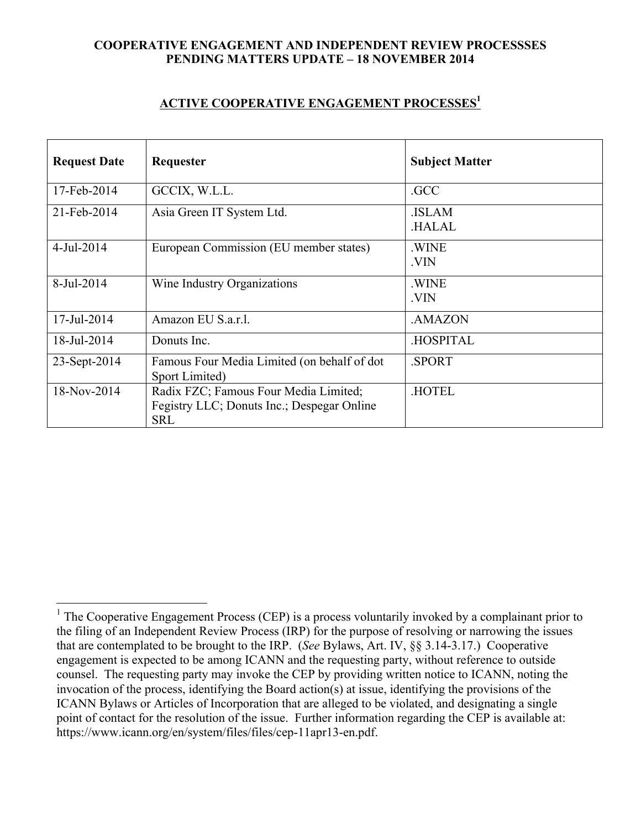## **COOPERATIVE ENGAGEMENT AND INDEPENDENT REVIEW PROCESSSES PENDING MATTERS UPDATE – 18 NOVEMBER 2014**

## **ACTIVE COOPERATIVE ENGAGEMENT PROCESSES1**

| <b>Request Date</b>      | Requester                                                                                         | <b>Subject Matter</b>        |
|--------------------------|---------------------------------------------------------------------------------------------------|------------------------------|
| 17-Feb-2014              | GCCIX, W.L.L.                                                                                     | .GCC                         |
| 21-Feb-2014              | Asia Green IT System Ltd.                                                                         | <b>ISLAM</b><br><b>HALAL</b> |
| $4$ -Jul-2014            | European Commission (EU member states)                                                            | .WINE<br>.VIN                |
| 8-Jul-2014               | Wine Industry Organizations                                                                       | .WINE<br>.VIN                |
| $17 - \text{Jul} - 2014$ | Amazon EU S.a.r.l.                                                                                | .AMAZON                      |
| 18-Jul-2014              | Donuts Inc.                                                                                       | <b>HOSPITAL</b>              |
| 23-Sept-2014             | Famous Four Media Limited (on behalf of dot<br>Sport Limited)                                     | .SPORT                       |
| 18-Nov-2014              | Radix FZC; Famous Four Media Limited;<br>Fegistry LLC; Donuts Inc.; Despegar Online<br><b>SRL</b> | <b>HOTEL</b>                 |

<sup>&</sup>lt;sup>1</sup> The Cooperative Engagement Process (CEP) is a process voluntarily invoked by a complainant prior to the filing of an Independent Review Process (IRP) for the purpose of resolving or narrowing the issues that are contemplated to be brought to the IRP. (*See* Bylaws, Art. IV, §§ 3.14-3.17.) Cooperative engagement is expected to be among ICANN and the requesting party, without reference to outside counsel. The requesting party may invoke the CEP by providing written notice to ICANN, noting the invocation of the process, identifying the Board action(s) at issue, identifying the provisions of the ICANN Bylaws or Articles of Incorporation that are alleged to be violated, and designating a single point of contact for the resolution of the issue. Further information regarding the CEP is available at: https://www.icann.org/en/system/files/files/cep-11apr13-en.pdf.